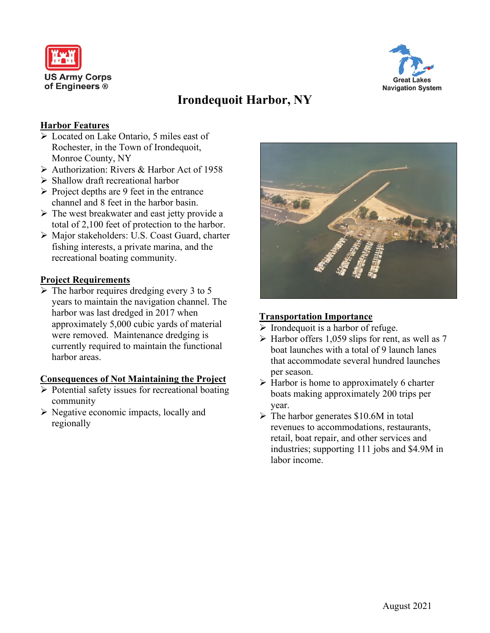



# **Irondequoit Harbor, NY**

#### **Harbor Features**

- Located on Lake Ontario, 5 miles east of Rochester, in the Town of Irondequoit, Monroe County, NY
- Authorization: Rivers & Harbor Act of 1958
- $\triangleright$  Shallow draft recreational harbor
- $\triangleright$  Project depths are 9 feet in the entrance channel and 8 feet in the harbor basin.
- $\triangleright$  The west breakwater and east jetty provide a total of 2,100 feet of protection to the harbor.
- Major stakeholders: U.S. Coast Guard, charter fishing interests, a private marina, and the recreational boating community.

#### **Project Requirements**

 $\triangleright$  The harbor requires dredging every 3 to 5 years to maintain the navigation channel. The harbor was last dredged in 2017 when approximately 5,000 cubic yards of material were removed. Maintenance dredging is currently required to maintain the functional harbor areas.

### **Consequences of Not Maintaining the Project**

- $\triangleright$  Potential safety issues for recreational boating community
- $\triangleright$  Negative economic impacts, locally and regionally



### **Transportation Importance**

- $\triangleright$  Irondequoit is a harbor of refuge.
- $\triangleright$  Harbor offers 1,059 slips for rent, as well as 7 boat launches with a total of 9 launch lanes that accommodate several hundred launches per season.
- $\triangleright$  Harbor is home to approximately 6 charter boats making approximately 200 trips per year.
- $\triangleright$  The harbor generates \$10.6M in total revenues to accommodations, restaurants, retail, boat repair, and other services and industries; supporting 111 jobs and \$4.9M in labor income.